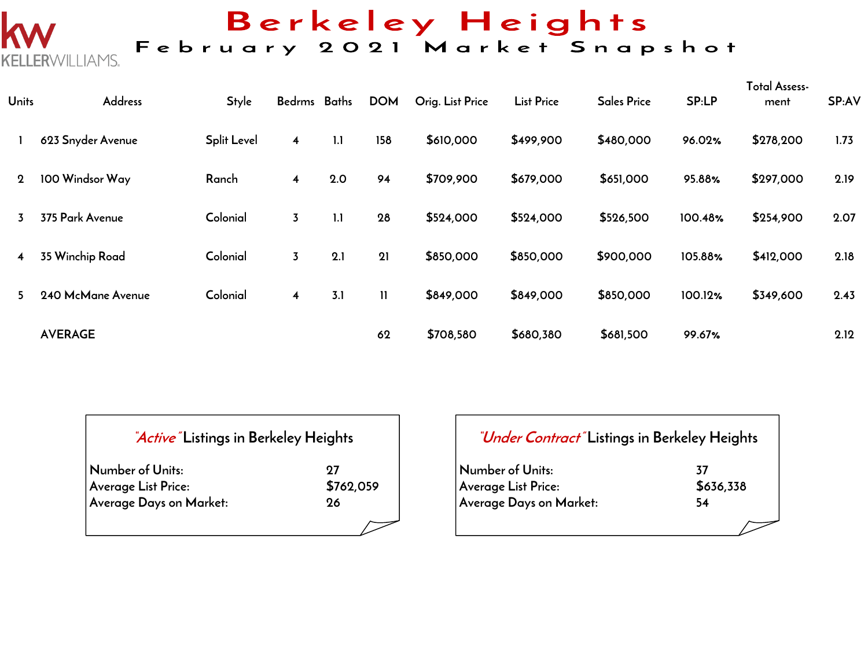# ERWILLIAMS.

## Berkeley Heights<br>February 2021 Market Snapshot

| <b>Units</b>   | <b>Address</b>    | <b>Style</b>       | Bedrms Baths            |     | <b>DOM</b>   | Orig. List Price | <b>List Price</b> | <b>Sales Price</b> | SP:LP   | <b>Total Assess-</b><br>ment | SP:AV |
|----------------|-------------------|--------------------|-------------------------|-----|--------------|------------------|-------------------|--------------------|---------|------------------------------|-------|
|                | 623 Snyder Avenue | <b>Split Level</b> | $\overline{\mathbf{4}}$ | 1.1 | 158          | \$610,000        | \$499,900         | \$480,000          | 96.02%  | \$278,200                    | 1.73  |
| $\mathbf 2$    | 100 Windsor Way   | Ranch              | $\overline{\mathbf{4}}$ | 2.0 | 94           | \$709,900        | \$679,000         | \$651,000          | 95.88%  | \$297,000                    | 2.19  |
| 3              | 375 Park Avenue   | Colonial           | $\overline{3}$          | 1.1 | 28           | \$524,000        | \$524,000         | \$526,500          | 100.48% | \$254,900                    | 2.07  |
| $\overline{4}$ | 35 Winchip Road   | Colonial           | $\overline{3}$          | 2.1 | 21           | \$850,000        | \$850,000         | \$900,000          | 105.88% | \$412,000                    | 2.18  |
| 5.             | 240 McMane Avenue | Colonial           | $\overline{\mathbf{4}}$ | 3.1 | $\mathbf{H}$ | \$849,000        | \$849,000         | \$850,000          | 100.12% | \$349,600                    | 2.43  |
|                | <b>AVERAGE</b>    |                    |                         |     | 62           | \$708,580        | \$680,380         | \$681,500          | 99.67%  |                              | 2.12  |

| <i>Active</i> Listings in Berkeley Heights |                 |
|--------------------------------------------|-----------------|
| Number of Units:<br>Average List Price:    | 97<br>\$762,059 |
| Average Days on Market:                    | 96              |
|                                            |                 |

| "Under Contract" Listings in Berkeley Heights |           |  |  |  |  |  |  |  |  |
|-----------------------------------------------|-----------|--|--|--|--|--|--|--|--|
| Number of Units:                              | 37        |  |  |  |  |  |  |  |  |
| Average List Price:                           | \$636,338 |  |  |  |  |  |  |  |  |
| Average Days on Market:                       | 54        |  |  |  |  |  |  |  |  |
|                                               |           |  |  |  |  |  |  |  |  |